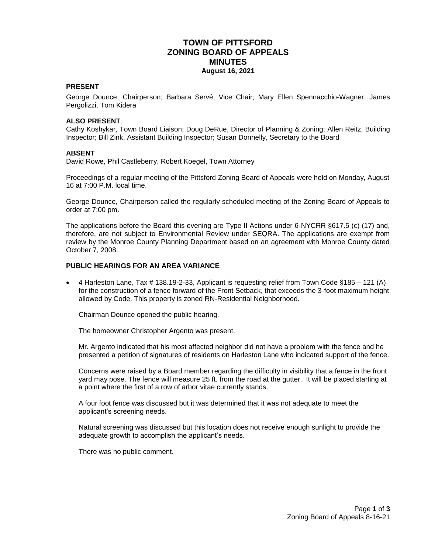### **TOWN OF PITTSFORD ZONING BOARD OF APPEALS MINUTES August 16, 2021**

### **PRESENT**

George Dounce, Chairperson; Barbara Servé, Vice Chair; Mary Ellen Spennacchio-Wagner, James Pergolizzi, Tom Kidera

### **ALSO PRESENT**

Cathy Koshykar, Town Board Liaison; Doug DeRue, Director of Planning & Zoning; Allen Reitz, Building Inspector; Bill Zink, Assistant Building Inspector; Susan Donnelly, Secretary to the Board

### **ABSENT**

David Rowe, Phil Castleberry, Robert Koegel, Town Attorney

Proceedings of a regular meeting of the Pittsford Zoning Board of Appeals were held on Monday, August 16 at 7:00 P.M. local time.

George Dounce, Chairperson called the regularly scheduled meeting of the Zoning Board of Appeals to order at 7:00 pm.

The applications before the Board this evening are Type II Actions under 6-NYCRR §617.5 (c) (17) and, therefore, are not subject to Environmental Review under SEQRA. The applications are exempt from review by the Monroe County Planning Department based on an agreement with Monroe County dated October 7, 2008.

### **PUBLIC HEARINGS FOR AN AREA VARIANCE**

 4 Harleston Lane, Tax # 138.19-2-33, Applicant is requesting relief from Town Code §185 – 121 (A) for the construction of a fence forward of the Front Setback, that exceeds the 3-foot maximum height allowed by Code. This property is zoned RN-Residential Neighborhood.

Chairman Dounce opened the public hearing.

The homeowner Christopher Argento was present.

Mr. Argento indicated that his most affected neighbor did not have a problem with the fence and he presented a petition of signatures of residents on Harleston Lane who indicated support of the fence.

Concerns were raised by a Board member regarding the difficulty in visibility that a fence in the front yard may pose. The fence will measure 25 ft. from the road at the gutter. It will be placed starting at a point where the first of a row of arbor vitae currently stands.

A four foot fence was discussed but it was determined that it was not adequate to meet the applicant's screening needs.

Natural screening was discussed but this location does not receive enough sunlight to provide the adequate growth to accomplish the applicant's needs.

There was no public comment.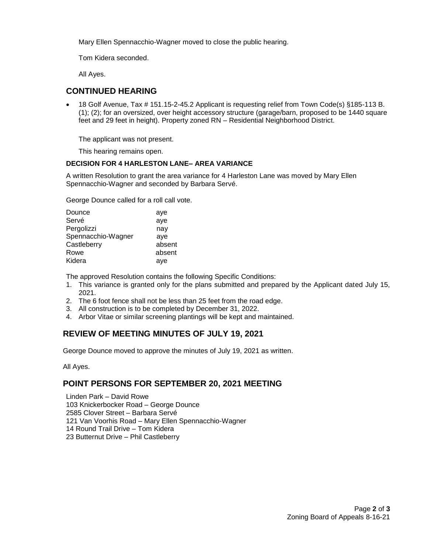Mary Ellen Spennacchio-Wagner moved to close the public hearing.

Tom Kidera seconded.

All Ayes.

## **CONTINUED HEARING**

 18 Golf Avenue, Tax # 151.15-2-45.2 Applicant is requesting relief from Town Code(s) §185-113 B. (1); (2); for an oversized, over height accessory structure (garage/barn, proposed to be 1440 square feet and 29 feet in height). Property zoned RN – Residential Neighborhood District.

The applicant was not present.

This hearing remains open.

### **DECISION FOR 4 HARLESTON LANE– AREA VARIANCE**

A written Resolution to grant the area variance for 4 Harleston Lane was moved by Mary Ellen Spennacchio-Wagner and seconded by Barbara Servé.

George Dounce called for a roll call vote.

| aye    |
|--------|
| aye    |
| nay    |
| aye    |
| absent |
| absent |
| aye    |
|        |

The approved Resolution contains the following Specific Conditions:

- 1. This variance is granted only for the plans submitted and prepared by the Applicant dated July 15, 2021.
- 2. The 6 foot fence shall not be less than 25 feet from the road edge.
- 3. All construction is to be completed by December 31, 2022.
- 4. Arbor Vitae or similar screening plantings will be kept and maintained.

# **REVIEW OF MEETING MINUTES OF JULY 19, 2021**

George Dounce moved to approve the minutes of July 19, 2021 as written.

All Ayes.

### **POINT PERSONS FOR SEPTEMBER 20, 2021 MEETING**

Linden Park – David Rowe 103 Knickerbocker Road – George Dounce 2585 Clover Street – Barbara Servé 121 Van Voorhis Road – Mary Ellen Spennacchio-Wagner 14 Round Trail Drive – Tom Kidera 23 Butternut Drive – Phil Castleberry